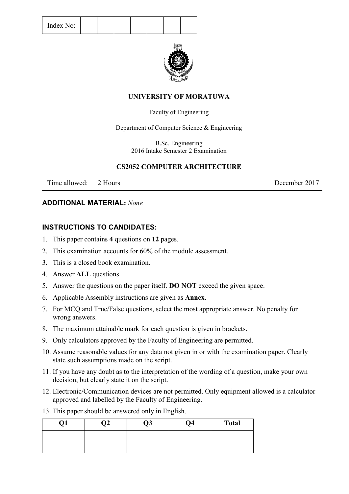| Index No: |  |  |
|-----------|--|--|
|-----------|--|--|



## **UNIVERSITY OF MORATUWA**

## Faculty of Engineering

Department of Computer Science & Engineering

B.Sc. Engineering 2016 Intake Semester 2 Examination

## **CS2052 COMPUTER ARCHITECTURE**

Time allowed: 2 Hours 2017

## **ADDITIONAL MATERIAL:** *None*

## **INSTRUCTIONS TO CANDIDATES:**

- 1. This paper contains **4** questions on **12** pages.
- 2. This examination accounts for 60% of the module assessment.
- 3. This is a closed book examination.
- 4. Answer **ALL** questions.
- 5. Answer the questions on the paper itself. **DO NOT** exceed the given space.
- 6. Applicable Assembly instructions are given as **Annex**.
- 7. For MCQ and True/False questions, select the most appropriate answer. No penalty for wrong answers.
- 8. The maximum attainable mark for each question is given in brackets.
- 9. Only calculators approved by the Faculty of Engineering are permitted.
- 10. Assume reasonable values for any data not given in or with the examination paper. Clearly state such assumptions made on the script.
- 11. If you have any doubt as to the interpretation of the wording of a question, make your own decision, but clearly state it on the script.
- 12. Electronic/Communication devices are not permitted. Only equipment allowed is a calculator approved and labelled by the Faculty of Engineering.
- 13. This paper should be answered only in English.

| Q1 | $\overline{Q2}$ | Q3 | $\overline{Q4}$ | <b>Total</b> |
|----|-----------------|----|-----------------|--------------|
|    |                 |    |                 |              |
|    |                 |    |                 |              |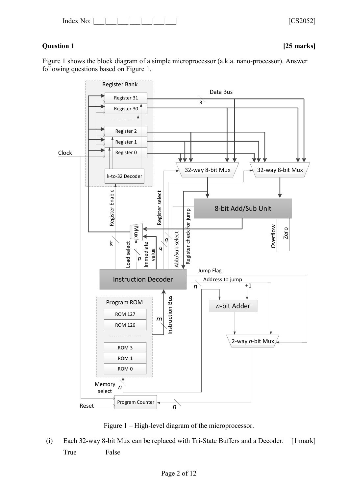Index No: |\_\_\_|\_\_\_|\_\_\_|\_\_\_|\_\_\_|\_\_\_|\_\_\_| [CS2052]

# **Question 1 [25 marks]**

Figure 1 shows the block diagram of a simple microprocessor (a.k.a. nano-processor). Answer following questions based on Figure 1.



Figure 1 – High-level diagram of the microprocessor.

(i) Each 32-way 8-bit Mux can be replaced with Tri-State Buffers and a Decoder. [1 mark] True False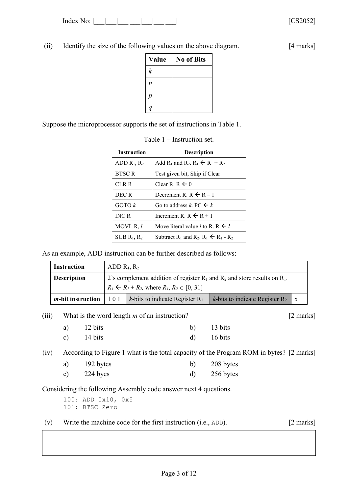Index No: |\_\_\_|\_\_\_|\_\_\_|\_\_\_|\_\_\_\_|\_\_\_\_| \_\_\_\_| [CS2052]

(ii) Identify the size of the following values on the above diagram. [4 marks]

| <b>Value</b>     | <b>No of Bits</b> |
|------------------|-------------------|
| $\boldsymbol{k}$ |                   |
| n                |                   |
| р                |                   |
|                  |                   |

Suppose the microprocessor supports the set of instructions in Table 1.

| <b>Instruction</b>                                                                                                    | <b>Description</b>                                                                                       |
|-----------------------------------------------------------------------------------------------------------------------|----------------------------------------------------------------------------------------------------------|
| Add R <sub>1</sub> and R <sub>2</sub> . R <sub>1</sub> $\leftarrow$ R <sub>1</sub> + R <sub>2</sub><br>ADD $R_1, R_2$ |                                                                                                          |
| <b>BTSC R</b><br>Test given bit, Skip if Clear                                                                        |                                                                                                          |
| Clear R. R $\leftarrow 0$<br>CLR R                                                                                    |                                                                                                          |
| DEC R                                                                                                                 | Decrement R. R $\leftarrow$ R – 1                                                                        |
| GOTO k                                                                                                                | Go to address k, PC $\leftarrow k$                                                                       |
| <b>INC R</b>                                                                                                          | Increment R, $R \leftarrow R + 1$                                                                        |
| MOVL R, l                                                                                                             | Move literal value <i>l</i> to R, R $\leftarrow$ <i>l</i>                                                |
| $SUB R_1, R_2$                                                                                                        | Subtract R <sub>1</sub> and R <sub>2</sub> , R <sub>1</sub> $\leftarrow$ R <sub>1</sub> - R <sub>2</sub> |

As an example, ADD instruction can be further described as follows:

| <b>Instruction</b>        |     | ADD $R_1, R_2$                                                                             |  |  |  |
|---------------------------|-----|--------------------------------------------------------------------------------------------|--|--|--|
| <b>Description</b>        |     | 2's complement addition of register $R_1$ and $R_2$ and store results on $R_1$ .           |  |  |  |
|                           |     | $R_1 \leftarrow R_1 + R_2$ , where $R_1, R_2 \in [0, 31]$                                  |  |  |  |
| <i>m</i> -bit instruction | 101 | <i>k</i> -bits to indicate Register $R_2$   x<br><i>k</i> -bits to indicate Register $R_1$ |  |  |  |

(iii) What is the word length *m* of an instruction? [2 marks]

a)  $12 \text{ bits}$  b)  $13 \text{ bits}$ c)  $14 \text{ bits}$  d)  $16 \text{ bits}$ 

(iv) According to Figure 1 what is the total capacity of the Program ROM in bytes? [2 marks]

| a) | 192 bytes                                                | 208 bytes |
|----|----------------------------------------------------------|-----------|
|    | $\begin{array}{c} \n\bullet \bullet \bullet \end{array}$ | $\bullet$ |

c) 224 byes d) 256 bytes

Considering the following Assembly code answer next 4 questions.

100: ADD 0x10, 0x5 101: BTSC Zero

(v) Write the machine code for the first instruction (i.e., ADD). [2 marks]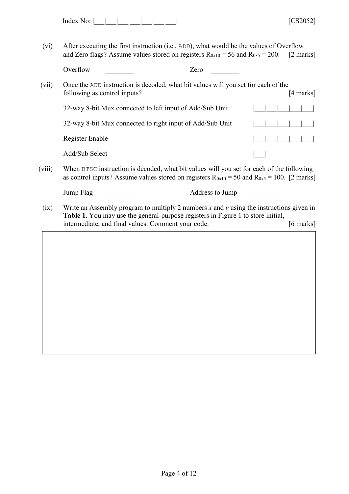| Index<br>ഹ∙ |  |  |  |  |  |  |  |  |
|-------------|--|--|--|--|--|--|--|--|
|-------------|--|--|--|--|--|--|--|--|

(vi) After executing the first instruction (i.e., ADD), what would be the values of Overflow and Zero flags? Assume values stored on registers  $R_{0x10} = 56$  and  $R_{0x5} = 200$ . [2 marks]

| (vii) | Once the ADD instruction is decoded, what bit values will you set for each of the |  |  |  |             |  |
|-------|-----------------------------------------------------------------------------------|--|--|--|-------------|--|
|       | following as control inputs?                                                      |  |  |  | $[4$ marks] |  |
|       | 32-way 8-bit Mux connected to left input of Add/Sub Unit                          |  |  |  |             |  |

| $52$ -way $\delta$ -bit iviux connected to felt input of Add/Sub Only |                   |
|-----------------------------------------------------------------------|-------------------|
| 32-way 8-bit Mux connected to right input of Add/Sub Unit             |                   |
| Register Enable                                                       | 1 1 1 1 1 1 1 1 1 |
| Add/Sub Select                                                        |                   |

(viii) When BTSC instruction is decoded, what bit values will you set for each of the following as control inputs? Assume values stored on registers  $R_{0x10} = 50$  and  $R_{0x5} = 100$ . [2 marks]

| Jump Flag | Address to Jump                                                                             |
|-----------|---------------------------------------------------------------------------------------------|
|           | Write an Assembly program to multiply 2 numbers $x$ and $y$ using the instructions given in |

(ix) Write an Assembly program to multiply 2 numbers *x* and *y* using the instructions given in **Table 1**. You may use the general-purpose registers in Figure 1 to store initial, intermediate, and final values. Comment your code. [6 marks]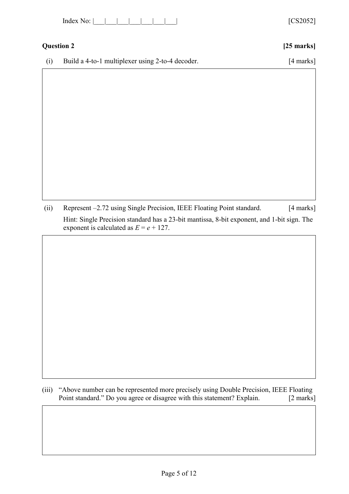| Index |  |  |  |
|-------|--|--|--|
|-------|--|--|--|

# **Question 2 [25 marks]**

[CS2052]

(i) Build a 4-to-1 multiplexer using 2-to-4 decoder. [4 marks]

(ii) Represent –2.72 using Single Precision, IEEE Floating Point standard. [4 marks] Hint: Single Precision standard has a 23-bit mantissa, 8-bit exponent, and 1-bit sign. The exponent is calculated as  $E = e + 127$ .

(iii) "Above number can be represented more precisely using Double Precision, IEEE Floating Point standard." Do you agree or disagree with this statement? Explain. [2 marks]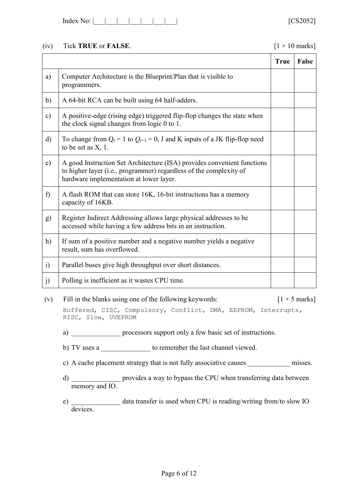| Index No: |  |  |  |  |  |  |  |  |
|-----------|--|--|--|--|--|--|--|--|
|-----------|--|--|--|--|--|--|--|--|

## (iv) Tick **TRUE** or **FALSE**.  $[1 \times 10 \text{ marks}]$

|            |                                                                                                                                                                                          | <b>True</b> | False |
|------------|------------------------------------------------------------------------------------------------------------------------------------------------------------------------------------------|-------------|-------|
| a)         | Computer Architecture is the Blueprint/Plan that is visible to<br>programmers.                                                                                                           |             |       |
| b)         | A 64-bit RCA can be built using 64 half-adders.                                                                                                                                          |             |       |
| c)         | A positive-edge (rising edge) triggered flip-flop changes the state when<br>the clock signal changes from logic 0 to 1.                                                                  |             |       |
| $\rm d)$   | To change from $Q_t = 1$ to $Q_{t+1} = 0$ , J and K inputs of a JK flip-flop need<br>to be set as $X$ , 1.                                                                               |             |       |
| e)         | A good Instruction Set Architecture (ISA) provides convenient functions<br>to higher layer (i.e., programmer) regardless of the complexity of<br>hardware implementation at lower layer. |             |       |
| f          | A flash ROM that can store 16K, 16-bit instructions has a memory<br>capacity of 16KB.                                                                                                    |             |       |
| g)         | Register Indirect Addressing allows large physical addresses to be<br>accessed while having a few address bits in an instruction.                                                        |             |       |
| h)         | If sum of a positive number and a negative number yields a negative<br>result, sum has overflowed.                                                                                       |             |       |
| $\ddot{1}$ | Parallel buses give high throughput over short distances.                                                                                                                                |             |       |
| j)         | Polling is inefficient as it wastes CPU time.                                                                                                                                            |             |       |

- (v) Fill in the blanks using one of the following keywords:  $[1 \times 5 \text{ marks}]$ Buffered, CISC, Compulsory, Conflict, DMA, EEPROM, Interrupts, RISC, Slow, UVEPROM
	- a) \_\_\_\_\_\_\_\_\_\_\_\_\_\_\_\_ processors support only a few basic set of instructions.
	- b) TV uses a \_\_\_\_\_\_\_\_\_\_\_\_\_\_\_ to remember the last channel viewed.
	- c) A cache placement strategy that is not fully associative causes \_\_\_\_\_\_\_\_\_\_\_\_\_\_ misses.
	- d) \_\_\_\_\_\_\_\_\_\_\_\_\_\_ provides a way to bypass the CPU when transferring data between memory and IO.
	- e) \_\_\_\_\_\_\_\_\_\_\_\_\_\_ data transfer is used when CPU is reading/writing from/to slow IO devices.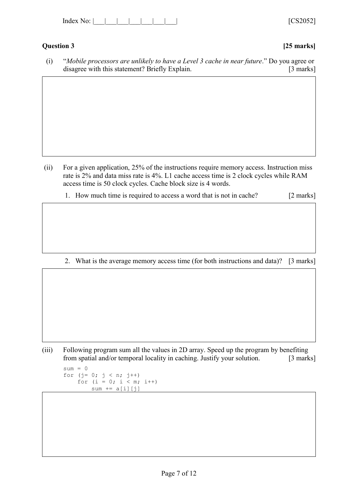| Index<br>۰. |  |  |  |  |  |  |
|-------------|--|--|--|--|--|--|
|-------------|--|--|--|--|--|--|

# **Question 3 [25 marks]**

 $[CS2052]$ 

(i) "*Mobile processors are unlikely to have a Level 3 cache in near future*." Do you agree or disagree with this statement? Briefly Explain. [3 marks]

- (ii) For a given application, 25% of the instructions require memory access. Instruction miss rate is 2% and data miss rate is 4%. L1 cache access time is 2 clock cycles while RAM access time is 50 clock cycles. Cache block size is 4 words.
	- 1. How much time is required to access a word that is not in cache? [2 marks]

2. What is the average memory access time (for both instructions and data)? [3 marks]

(iii) Following program sum all the values in 2D array. Speed up the program by benefiting from spatial and/or temporal locality in caching. Justify your solution. [3 marks]

 $sum = 0$ for  $(j= 0; j < n; j++)$ for  $(i = 0; i < m; i++)$  $sum$  +=  $a[i][j]$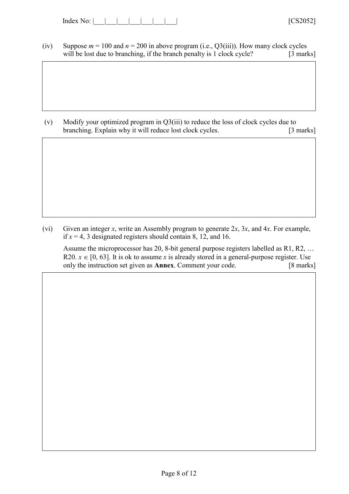| Index<br><b>.</b> Ω. |  |  |  |  |  |  |  |  |
|----------------------|--|--|--|--|--|--|--|--|
|----------------------|--|--|--|--|--|--|--|--|

(iv) Suppose  $m = 100$  and  $n = 200$  in above program (i.e.,  $Q3(iii)$ ). How many clock cycles will be lost due to branching, if the branch penalty is 1 clock cycle? [3 marks]

(v) Modify your optimized program in Q3(iii) to reduce the loss of clock cycles due to branching. Explain why it will reduce lost clock cycles. [3 marks]

(vi) Given an integer *x*, write an Assembly program to generate 2*x*, 3*x*, and 4*x*. For example, if  $x = 4$ , 3 designated registers should contain 8, 12, and 16.

Assume the microprocessor has 20, 8-bit general purpose registers labelled as R1, R2, … R20.  $x \in [0, 63]$ . It is ok to assume *x* is already stored in a general-purpose register. Use only the instruction set given as **Annex**. Comment your code. [8 marks]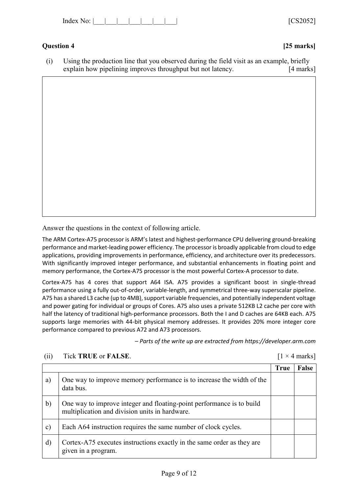| Index<br>No: | 1000000<br>$\mathbf{v}$ |
|--------------|-------------------------|
|--------------|-------------------------|

# **Question 4 [25 marks]**

(i) Using the production line that you observed during the field visit as an example, briefly explain how pipelining improves throughput but not latency. [4 marks]

Answer the questions in the context of following article.

The ARM Cortex-A75 processor is ARM's latest and highest-performance CPU delivering ground-breaking performance and market-leading power efficiency. The processor is broadly applicable from cloud to edge applications, providing improvements in performance, efficiency, and architecture over its predecessors. With significantly improved integer performance, and substantial enhancements in floating point and memory performance, the Cortex-A75 processor is the most powerful Cortex-A processor to date.

Cortex-A75 has 4 cores that support A64 ISA. A75 provides a significant boost in single-thread performance using a fully out-of-order, variable-length, and symmetrical three-way superscalar pipeline. A75 has a shared L3 cache (up to 4MB), support variable frequencies, and potentially independent voltage and power gating for individual or groups of Cores. A75 also uses a private 512KB L2 cache per core with half the latency of traditional high-performance processors. Both the I and D caches are 64KB each. A75 supports large memories with 44-bit physical memory addresses. It provides 20% more integer core performance compared to previous A72 and A73 processors.

– *Parts of the write up are extracted from https://developer.arm.com*

|               |                                                                                                                         | <b>True</b> | False |
|---------------|-------------------------------------------------------------------------------------------------------------------------|-------------|-------|
| a)            | One way to improve memory performance is to increase the width of the<br>data bus.                                      |             |       |
| $\mathbf{b}$  | One way to improve integer and floating-point performance is to build<br>multiplication and division units in hardware. |             |       |
| $\mathbf{c})$ | Each A64 instruction requires the same number of clock cycles.                                                          |             |       |
| $\rm d)$      | Cortex-A75 executes instructions exactly in the same order as they are<br>given in a program.                           |             |       |

### (ii) Tick **TRUE** or **FALSE**. [1 × 4 marks]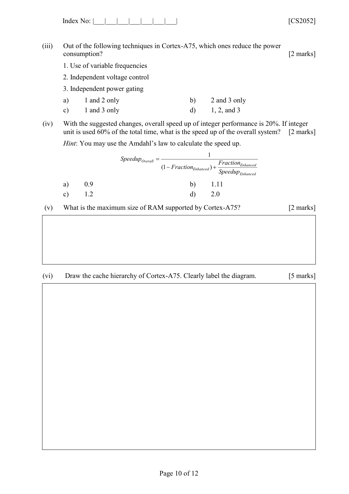Index No: |\_\_\_|\_\_\_|\_\_\_|\_\_\_|\_\_\_\_|\_\_\_\_| \_\_\_\_\_| [CS2052]

(iii) Out of the following techniques in Cortex-A75, which ones reduce the power consumption? [2 marks]

- 1. Use of variable frequencies
- 2. Independent voltage control
- 3. Independent power gating
- a) 1 and 2 only b) 2 and 3 only c)  $1$  and  $3$  only  $d)$   $1, 2,$  and  $3$
- (iv) With the suggested changes, overall speed up of integer performance is 20%. If integer unit is used 60% of the total time, what is the speed up of the overall system? [2 marks]

*Hint*: You may use the Amdahl's law to calculate the speed up.

|    |                  | $Speedup_{Overall}$ |    |                                                                                     |
|----|------------------|---------------------|----|-------------------------------------------------------------------------------------|
|    |                  |                     |    | $Fraction_{Enhanced}$<br>$(1 - Fraction_{Enhanced}) + \frac{1}{Speedup_{Enhanced}}$ |
| a) | 0.9 <sub>2</sub> |                     | b) |                                                                                     |
| c) |                  |                     |    | 2.0                                                                                 |

(v) What is the maximum size of RAM supported by Cortex-A75? [2 marks]

# (vi) Draw the cache hierarchy of Cortex-A75. Clearly label the diagram. [5 marks]